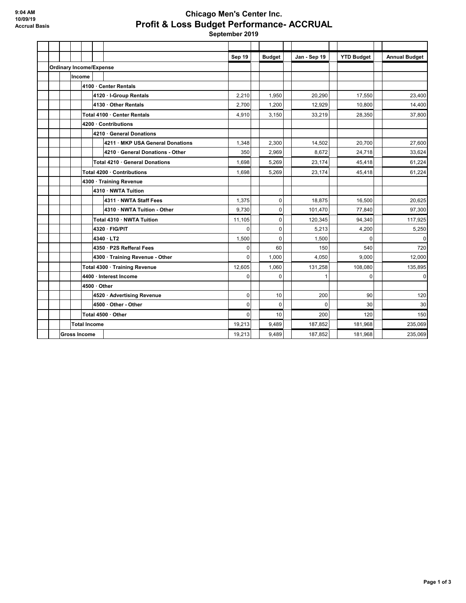## **Chicago Men's Center Inc. Profit & Loss Budget Performance- ACCRUAL September 2019**

**Sep 19 Budget Jan - Sep 19 YTD Budget Annual Budget Ordinary Income/Expense Income 4100 · Center Rentals 4120 · I-Group Rentals** 23,400 **20,210** 20,210 **20,290** 17,550 17,550 23,400 **4130 · Other Rentals** 2,700 1,200 12,929 10,800 14,400 **Total 4100 · Center Rentals** 4 28,350 **4,910 3,150 33,219 33,219 38,350 37,800 4200 · Contributions 4210 · General Donations 4211 · MKP USA General Donations** 1,348 2,300 14,502 20,700 27,600 **4210 · General Donations - Other** 350 33,624 8,672 24,718 33,624 **Total 4210 · General Donations** 1,698 | 5,269 | 23,174 | 45,418 | 61,224 **Total 4200 · Contributions** 1,698 5,269 23,174 45,418 61,224 **4300 · Training Revenue 4310 · NWTA Tuition 4311 · NWTA Staff Fees** 20,625 **1,375** 1,375 0 18,875 16,500 16,500 20,625 **4310 · NWTA Tuition - Other 9,730 0 101,470 77,840 97,300 Total 4310 · NWTA Tuition** 117,925 11,105 0 120,345 94,340 117,925 **4320 · FIG/PIT** 0 0 5,213 4,200 5,250 **4340 · LT2** 1,500 0 1,500 0 0 **4350 · P2S Refferal Fees** 0 60 150 540 720 **4300 · Training Revenue - Other** 1,000 4,050 9,000 12,000 **Total 4300 · Training Revenue** 135,895 12,605 12,605 131,258 131,258 108,080 135,895 **4400 · Interest Income** 0 0 1 0 0 **4500 · Other 4520 · Advertising Revenue** 0 10 200 90 120 **4500 · Other - Other** 0 0 0 30 30 **Total 4500 · Other** 0 10 200 120 150 **Total Income** 19,213 9,489 187,852 181,968 235,069 **Gross Income** 19,213 9,489 187,852 181,968 235,069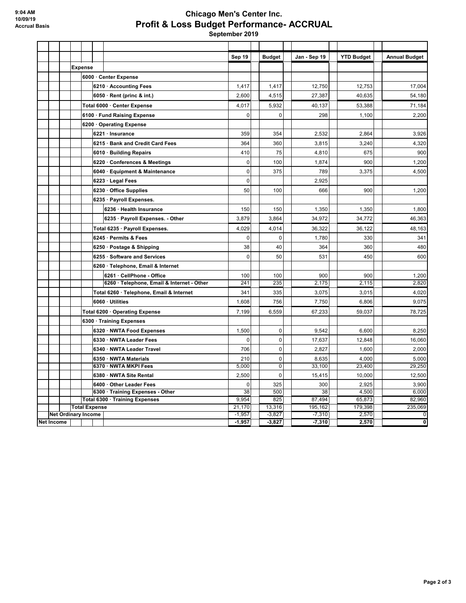## **Chicago Men's Center Inc. Profit & Loss Budget Performance- ACCRUAL**

 **September 2019**

|            |                          |                             |          |                                                            | Sep 19             | <b>Budget</b> |             | Jan - Sep 19 | <b>YTD Budget</b> | <b>Annual Budget</b> |
|------------|--------------------------|-----------------------------|----------|------------------------------------------------------------|--------------------|---------------|-------------|--------------|-------------------|----------------------|
|            |                          | <b>Expense</b>              |          |                                                            |                    |               |             |              |                   |                      |
|            |                          | 6000 · Center Expense       |          |                                                            |                    |               |             |              |                   |                      |
|            |                          |                             |          | 6210 · Accounting Fees                                     | 1,417              | 1,417         |             | 12,750       | 12,753            | 17,004               |
|            |                          |                             |          | $6050 \cdot$ Rent (princ & int.)                           | 2,600              | 4,515         |             | 27.387       | 40.635            | 54,180               |
|            |                          |                             |          | Total 6000 · Center Expense                                | 4,017              | 5,932         |             | 40.137       | 53,388            | 71,184               |
|            |                          | 6100 · Fund Raising Expense |          |                                                            | $\mathbf 0$        |               | $\Omega$    | 298          | 1,100             | 2,200                |
|            |                          |                             |          | 6200 Operating Expense                                     |                    |               |             |              |                   |                      |
|            |                          |                             |          | 6221 · Insurance                                           | 359                | 354           |             | 2,532        | 2,864             | 3,926                |
|            |                          |                             |          | 6215 · Bank and Credit Card Fees                           | 364                | 360           |             | 3,815        | 3,240             | 4,320                |
|            |                          |                             |          | 6010 · Building Repairs                                    | 410                | 75            |             | 4.810        | 675               | 900                  |
|            |                          |                             |          | 6220 · Conferences & Meetings                              | $\mathbf 0$        | 100           |             | 1,874        | 900               | 1,200                |
|            |                          |                             |          | 6040 · Equipment & Maintenance                             | $\mathbf 0$        | 375           |             | 789          | 3,375             | 4,500                |
|            |                          |                             |          | 6223 · Legal Fees                                          | $\mathbf{0}$       |               |             | 2,925        |                   |                      |
|            |                          |                             |          | 6230 Office Supplies                                       | 50                 | 100           |             | 666          | 900               | 1,200                |
|            |                          |                             |          | 6235 · Payroll Expenses.                                   |                    |               |             |              |                   |                      |
|            |                          |                             |          | 6236 · Health Insurance                                    | 150                | 150           |             | 1,350        | 1,350             | 1,800                |
|            |                          |                             |          | 6235 · Payroll Expenses. - Other                           | 3,879              | 3,864         |             | 34,972       | 34,772            | 46,363               |
|            |                          |                             |          | Total 6235 · Payroll Expenses.                             | 4,029              | 4,014         |             | 36,322       | 36,122            | 48,163               |
|            |                          |                             |          | 6245 · Permits & Fees                                      | $\mathbf 0$        |               | $\mathbf 0$ | 1,780        | 330               | 341                  |
|            |                          |                             |          | 6250 · Postage & Shipping                                  | 38                 | 40            |             | 364          | 360               | 480                  |
|            |                          |                             |          | 6255 · Software and Services                               | $\mathbf{0}$       | 50            |             | 531          | 450               | 600                  |
|            |                          |                             |          | 6260 · Telephone, Email & Internet                         |                    |               |             |              |                   |                      |
|            |                          |                             |          | 6261 · CellPhone - Office                                  | 100                | 100           |             | 900          | 900               | 1,200                |
|            |                          |                             |          | 6260 · Telephone, Email & Internet - Other                 | 241                | 235           |             | 2,175        | 2,115             | 2,820                |
|            |                          |                             |          | Total 6260 · Telephone, Email & Internet                   | 341                | 335           |             | 3,075        | 3,015             | 4,020                |
|            |                          |                             |          | 6060 · Utilities                                           | 1,608              | 756           |             | 7,750        | 6,806             | 9,075                |
|            |                          |                             |          | Total 6200 · Operating Expense                             | 7,199              | 6,559         |             | 67,233       | 59,037            | 78,725               |
|            | 6300 · Training Expenses |                             |          |                                                            |                    |               |             |              |                   |                      |
|            |                          |                             |          | 6320 · NWTA Food Expenses                                  | 1,500              |               | $\mathbf 0$ | 9.542        | 6,600             | 8,250                |
|            |                          |                             |          | 6330 · NWTA Leader Fees                                    | $\mathbf 0$        |               | $\mathbf 0$ | 17,637       | 12,848            | 16,060               |
|            |                          |                             |          | 6340 · NWTA Leader Travel                                  | 706                |               | $\mathbf 0$ | 2.827        | 1,600             | 2,000                |
|            |                          |                             |          | 6350 · NWTA Materials                                      | 210                |               | $\pmb{0}$   | 8,635        | 4,000             | 5,000                |
|            |                          |                             |          | 6370 · NWTA MKPI Fees                                      | 5,000              |               | $\pmb{0}$   | 33,100       | 23,400            | 29,250               |
|            |                          |                             |          | 6380 · NWTA Site Rental                                    | 2,500              |               | $\pmb{0}$   | 15,415       | 10,000            | 12,500               |
|            |                          |                             |          | 6400 Other Leader Fees<br>6300 · Training Expenses - Other | $\mathbf{0}$<br>38 | 325<br>500    |             | 300<br>38    | 2.925<br>4,500    | 3,900<br>6,000       |
|            |                          |                             |          | Total 6300 · Training Expenses                             | 9,954              | 825           |             | 87,494       | 65,873            | 82,960               |
|            |                          | <b>Total Expense</b>        |          |                                                            |                    | 13,316        |             | 195,162      | 179,398           | 235,069              |
|            |                          | <b>Net Ordinary Income</b>  |          |                                                            | $-1,957$           | $-3,827$      |             | $-7,310$     | 2,570             | 0                    |
| Net Income |                          |                             | $-1,957$ | $-3,827$                                                   |                    | $-7,310$      | 2,570       | ō            |                   |                      |